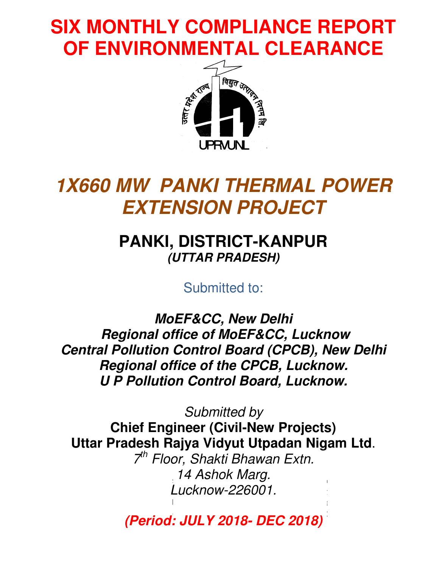## **SIX MONTHLY COMPLIANCE REPORT OF ENVIRONMENTAL CLEARANCE**



## **1X660 MW PANKI THERMAL POWER EXTENSION PROJECT**

## **PANKI, DISTRICT , DISTRICT-KANPUR KANPUR(UTTAR PRADESH UTTAR PRADESH)**

Submitted to:

**MoEF&CC, New Delhi Regional office of MoEF&CC, Lucknow Central Pollution Control Board (CPCB), New Delhi<br>Regional office of the CPCB, Lucknow. Regional office of the U P Pollution Control Board, Lucknow.**

**Chief Engineer (Civil (Civil-New Projects) New** Uttar Pradesh Rajya Vidyut Utpadan Nigam Ltd. Submitted by

Status for the Lucknow-226001. 7 th Floor, Shakti Bhawan Extn. 14 Ashok Marg. learance 1x660MW Uttar Rajya Vidyut

Compliance of Environme **(Period: JULY 20**  $E_{\text{total}} = 1111$  V 0040 MFO 0040) **Period: 2018- DEC 2018)**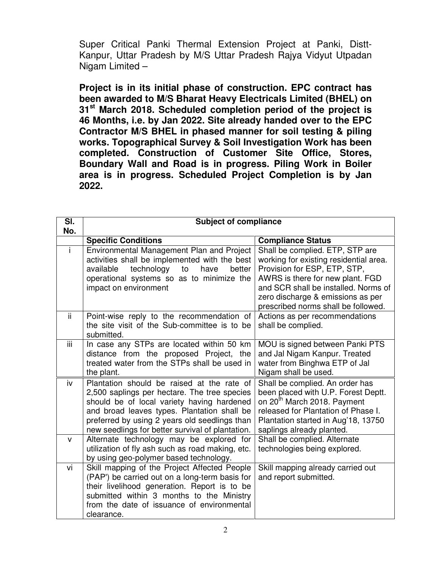Super Critical Panki Thermal Extension Project at Panki, Distt-Kanpur, Uttar Pradesh by M/S Uttar Pradesh Rajya Vidyut Utpadan Nigam Limited –

**Project is in its initial phase of construction. EPC contract has been awarded to M/S Bharat Heavy Electricals Limited (BHEL) on 31st March 2018. Scheduled completion period of the project is 46 Months, i.e. by Jan 2022. Site already handed over to the EPC Contractor M/S BHEL in phased manner for soil testing & piling works. Topographical Survey & Soil Investigation Work has been completed. Construction of Customer Site Office, Stores, Boundary Wall and Road is in progress. Piling Work in Boiler area is in progress. Scheduled Project Completion is by Jan 2022.** 

| SI.  | <b>Subject of compliance</b>                                                                                                                                                                                                                                                                 |                                                                                                                                                                                                                                                                   |
|------|----------------------------------------------------------------------------------------------------------------------------------------------------------------------------------------------------------------------------------------------------------------------------------------------|-------------------------------------------------------------------------------------------------------------------------------------------------------------------------------------------------------------------------------------------------------------------|
| No.  |                                                                                                                                                                                                                                                                                              |                                                                                                                                                                                                                                                                   |
|      | <b>Specific Conditions</b>                                                                                                                                                                                                                                                                   | <b>Compliance Status</b>                                                                                                                                                                                                                                          |
|      | Environmental Management Plan and Project<br>activities shall be implemented with the best<br>available<br>technology<br>to<br>have<br>better<br>operational systems so as to minimize the<br>impact on environment                                                                          | Shall be complied. ETP, STP are<br>working for existing residential area.<br>Provision for ESP, ETP, STP,<br>AWRS is there for new plant. FGD<br>and SCR shall be installed. Norms of<br>zero discharge & emissions as per<br>prescribed norms shall be followed. |
| ii.  | Point-wise reply to the recommendation of<br>the site visit of the Sub-committee is to be<br>submitted.                                                                                                                                                                                      | Actions as per recommendations<br>shall be complied.                                                                                                                                                                                                              |
| iii. | In case any STPs are located within 50 km<br>distance from the proposed Project, the<br>treated water from the STPs shall be used in<br>the plant.                                                                                                                                           | MOU is signed between Panki PTS<br>and Jal Nigam Kanpur. Treated<br>water from Binghwa ETP of Jal<br>Nigam shall be used.                                                                                                                                         |
| iv   | Plantation should be raised at the rate of<br>2,500 saplings per hectare. The tree species<br>should be of local variety having hardened<br>and broad leaves types. Plantation shall be<br>preferred by using 2 years old seedlings than<br>new seedlings for better survival of plantation. | Shall be complied. An order has<br>been placed with U.P. Forest Deptt.<br>on 20 <sup>th</sup> March 2018. Payment<br>released for Plantation of Phase I.<br>Plantation started in Aug'18, 13750<br>saplings already planted.                                      |
| v    | Alternate technology may be explored for<br>utilization of fly ash such as road making, etc.<br>by using geo-polymer based technology.                                                                                                                                                       | Shall be complied. Alternate<br>technologies being explored.                                                                                                                                                                                                      |
| vi   | Skill mapping of the Project Affected People<br>(PAP') be carried out on a long-term basis for<br>their livelihood generation. Report is to be<br>submitted within 3 months to the Ministry<br>from the date of issuance of environmental<br>clearance.                                      | Skill mapping already carried out<br>and report submitted.                                                                                                                                                                                                        |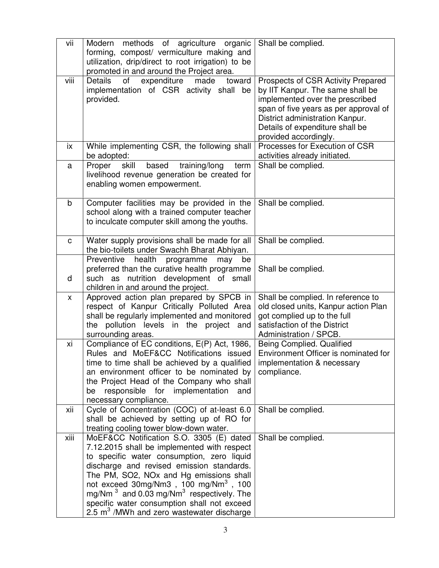| vii         | methods of agriculture organic<br>Modern<br>forming, compost/ vermiculture making and<br>utilization, drip/direct to root irrigation) to be<br>promoted in and around the Project area.                                                                                                                                                                                                                                 | Shall be complied.                                                                                                                                                                                                                                |
|-------------|-------------------------------------------------------------------------------------------------------------------------------------------------------------------------------------------------------------------------------------------------------------------------------------------------------------------------------------------------------------------------------------------------------------------------|---------------------------------------------------------------------------------------------------------------------------------------------------------------------------------------------------------------------------------------------------|
| viii        | <b>Details</b><br>of<br>expenditure<br>made<br>toward<br>implementation of CSR activity shall<br>be<br>provided.                                                                                                                                                                                                                                                                                                        | Prospects of CSR Activity Prepared<br>by IIT Kanpur. The same shall be<br>implemented over the prescribed<br>span of five years as per approval of<br>District administration Kanpur.<br>Details of expenditure shall be<br>provided accordingly. |
| ix          | While implementing CSR, the following shall<br>be adopted:                                                                                                                                                                                                                                                                                                                                                              | Processes for Execution of CSR<br>activities already initiated.                                                                                                                                                                                   |
| a           | Proper<br>training/long<br>skill<br>based<br>term<br>livelihood revenue generation be created for<br>enabling women empowerment.                                                                                                                                                                                                                                                                                        | Shall be complied.                                                                                                                                                                                                                                |
| $\mathsf b$ | Computer facilities may be provided in the<br>school along with a trained computer teacher<br>to inculcate computer skill among the youths.                                                                                                                                                                                                                                                                             | Shall be complied.                                                                                                                                                                                                                                |
| C           | Water supply provisions shall be made for all<br>the bio-toilets under Swachh Bharat Abhiyan.                                                                                                                                                                                                                                                                                                                           | Shall be complied.                                                                                                                                                                                                                                |
| d           | health<br>Preventive<br>programme<br>may<br>be<br>preferred than the curative health programme<br>nutrition development of small<br>such as<br>children in and around the project.                                                                                                                                                                                                                                      | Shall be complied.                                                                                                                                                                                                                                |
| X           | Approved action plan prepared by SPCB in<br>respect of Kanpur Critically Polluted Area<br>shall be regularly implemented and monitored<br>the pollution levels in the project and<br>surrounding areas.                                                                                                                                                                                                                 | Shall be complied. In reference to<br>old closed units, Kanpur action Plan<br>got complied up to the full<br>satisfaction of the District<br>Administration / SPCB.                                                                               |
| xi          | Compliance of EC conditions, E(P) Act, 1986,<br>Rules and MoEF&CC Notifications issued<br>time to time shall be achieved by a qualified<br>an environment officer to be nominated by<br>the Project Head of the Company who shall<br>responsible for implementation<br>be<br>and<br>necessary compliance.                                                                                                               | Being Complied. Qualified<br>Environment Officer is nominated for<br>implementation & necessary<br>compliance.                                                                                                                                    |
| xii         | Cycle of Concentration (COC) of at-least 6.0<br>shall be achieved by setting up of RO for<br>treating cooling tower blow-down water.                                                                                                                                                                                                                                                                                    | Shall be complied.                                                                                                                                                                                                                                |
| xiii        | MoEF&CC Notification S.O. 3305 (E) dated<br>7.12.2015 shall be implemented with respect<br>to specific water consumption, zero liquid<br>discharge and revised emission standards.<br>The PM, SO2, NOx and Hg emissions shall<br>not exceed 30mg/Nm3, 100 mg/Nm3, 100<br>mg/Nm $^3$ and 0.03 mg/Nm $^3$ respectively. The<br>specific water consumption shall not exceed<br>2.5 $m3$ /MWh and zero wastewater discharge | Shall be complied.                                                                                                                                                                                                                                |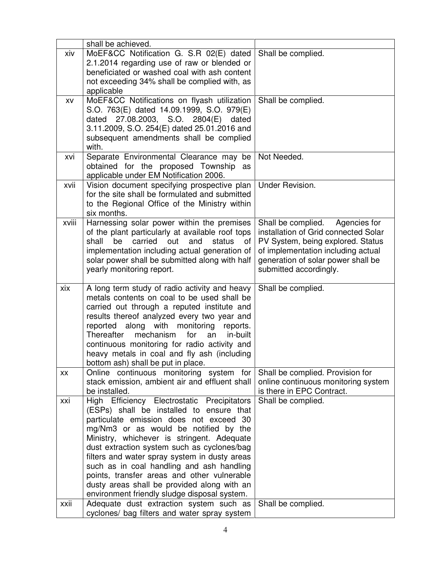|       | shall be achieved.                                                                      |                                      |
|-------|-----------------------------------------------------------------------------------------|--------------------------------------|
| xiv   | MoEF&CC Notification G. S.R 02(E) dated                                                 | Shall be complied.                   |
|       | 2.1.2014 regarding use of raw or blended or                                             |                                      |
|       | beneficiated or washed coal with ash content                                            |                                      |
|       |                                                                                         |                                      |
|       | not exceeding 34% shall be complied with, as                                            |                                      |
|       | applicable                                                                              |                                      |
| XV    | MoEF&CC Notifications on flyash utilization                                             | Shall be complied.                   |
|       | S.O. 763(E) dated 14.09.1999, S.O. 979(E)                                               |                                      |
|       | dated 27.08.2003, S.O. 2804(E)<br>dated                                                 |                                      |
|       | 3.11.2009, S.O. 254(E) dated 25.01.2016 and                                             |                                      |
|       | subsequent amendments shall be complied                                                 |                                      |
|       | with.                                                                                   |                                      |
| xvi   | Separate Environmental Clearance may be                                                 | Not Needed.                          |
|       | obtained for the proposed Township<br>as                                                |                                      |
|       | applicable under EM Notification 2006.                                                  |                                      |
| xvii  | Vision document specifying prospective plan                                             | Under Revision.                      |
|       | for the site shall be formulated and submitted                                          |                                      |
|       | to the Regional Office of the Ministry within                                           |                                      |
|       | six months.                                                                             |                                      |
| xviii | Harnessing solar power within the premises                                              | Shall be complied.<br>Agencies for   |
|       | of the plant particularly at available roof tops                                        | installation of Grid connected Solar |
|       | shall<br>be<br>carried<br>out<br>and<br>status<br>οf                                    | PV System, being explored. Status    |
|       | implementation including actual generation of                                           | of implementation including actual   |
|       | solar power shall be submitted along with half                                          | generation of solar power shall be   |
|       | yearly monitoring report.                                                               | submitted accordingly.               |
|       |                                                                                         |                                      |
|       |                                                                                         |                                      |
| xix   | A long term study of radio activity and heavy                                           | Shall be complied.                   |
|       | metals contents on coal to be used shall be                                             |                                      |
|       | carried out through a reputed institute and                                             |                                      |
|       | results thereof analyzed every two year and                                             |                                      |
|       | reported along with monitoring<br>reports.                                              |                                      |
|       | for<br>Thereafter<br>mechanism<br>in-built<br>an                                        |                                      |
|       | continuous monitoring for radio activity and                                            |                                      |
|       | heavy metals in coal and fly ash (including                                             |                                      |
|       | bottom ash) shall be put in place.                                                      |                                      |
| XX    | Online continuous monitoring system for                                                 | Shall be complied. Provision for     |
|       | stack emission, ambient air and effluent shall                                          | online continuous monitoring system  |
|       | be installed.                                                                           | is there in EPC Contract.            |
| xxi   | High Efficiency Electrostatic Precipitators                                             | Shall be complied.                   |
|       | (ESPs) shall be installed to ensure that                                                |                                      |
|       | particulate emission does not exceed 30                                                 |                                      |
|       | mg/Nm3 or as would be notified by the                                                   |                                      |
|       | Ministry, whichever is stringent. Adequate                                              |                                      |
|       | dust extraction system such as cyclones/bag                                             |                                      |
|       | filters and water spray system in dusty areas                                           |                                      |
|       | such as in coal handling and ash handling                                               |                                      |
|       | points, transfer areas and other vulnerable                                             |                                      |
|       | dusty areas shall be provided along with an                                             |                                      |
| xxii  | environment friendly sludge disposal system.<br>Adequate dust extraction system such as | Shall be complied.                   |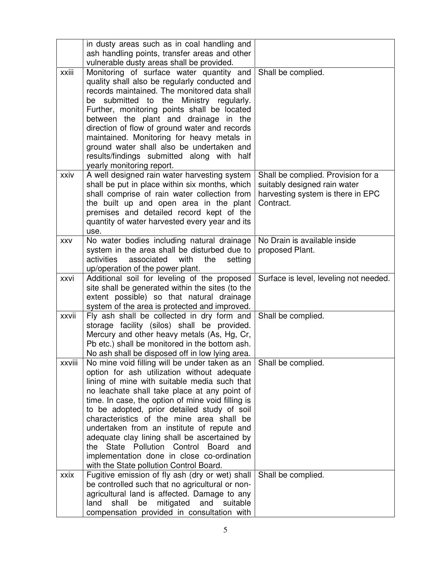|        | in dusty areas such as in coal handling and<br>ash handling points, transfer areas and other       |                                        |
|--------|----------------------------------------------------------------------------------------------------|----------------------------------------|
|        | vulnerable dusty areas shall be provided.                                                          |                                        |
| xxiii  | Monitoring of surface water quantity and                                                           | Shall be complied.                     |
|        | quality shall also be regularly conducted and                                                      |                                        |
|        | records maintained. The monitored data shall                                                       |                                        |
|        | be submitted to the<br>Ministry regularly.                                                         |                                        |
|        | Further, monitoring points shall be located                                                        |                                        |
|        | between the plant and drainage in the                                                              |                                        |
|        | direction of flow of ground water and records                                                      |                                        |
|        | maintained. Monitoring for heavy metals in                                                         |                                        |
|        | ground water shall also be undertaken and<br>results/findings submitted along with half            |                                        |
|        | yearly monitoring report.                                                                          |                                        |
| xxiv   | A well designed rain water harvesting system                                                       | Shall be complied. Provision for a     |
|        | shall be put in place within six months, which                                                     | suitably designed rain water           |
|        | shall comprise of rain water collection from                                                       | harvesting system is there in EPC      |
|        | the built up and open area in the plant                                                            | Contract.                              |
|        | premises and detailed record kept of the                                                           |                                        |
|        | quantity of water harvested every year and its                                                     |                                        |
|        | use.                                                                                               |                                        |
| XXV    | No water bodies including natural drainage                                                         | No Drain is available inside           |
|        | system in the area shall be disturbed due to<br>activities<br>associated<br>with<br>the<br>setting | proposed Plant.                        |
|        | up/operation of the power plant.                                                                   |                                        |
| xxvi   | Additional soil for leveling of the proposed                                                       | Surface is level, leveling not needed. |
|        | site shall be generated within the sites (to the                                                   |                                        |
|        | extent possible) so that natural drainage                                                          |                                        |
|        | system of the area is protected and improved.                                                      |                                        |
| xxvii  | Fly ash shall be collected in dry form and                                                         | Shall be complied.                     |
|        | storage facility (silos) shall be provided.                                                        |                                        |
|        | Mercury and other heavy metals (As, Hg, Cr,                                                        |                                        |
|        | Pb etc.) shall be monitored in the bottom ash.<br>No ash shall be disposed off in low lying area.  |                                        |
| xxviii | No mine void filling will be under taken as an                                                     | Shall be complied.                     |
|        | option for ash utilization without adequate                                                        |                                        |
|        | lining of mine with suitable media such that                                                       |                                        |
|        | no leachate shall take place at any point of                                                       |                                        |
|        | time. In case, the option of mine void filling is                                                  |                                        |
|        | to be adopted, prior detailed study of soil                                                        |                                        |
|        | characteristics of the mine area shall be                                                          |                                        |
|        | undertaken from an institute of repute and                                                         |                                        |
|        | adequate clay lining shall be ascertained by<br>the State Pollution Control<br>Board<br>and        |                                        |
|        | implementation done in close co-ordination                                                         |                                        |
|        | with the State pollution Control Board.                                                            |                                        |
| xxix   | Fugitive emission of fly ash (dry or wet) shall                                                    | Shall be complied.                     |
|        | be controlled such that no agricultural or non-                                                    |                                        |
|        | agricultural land is affected. Damage to any                                                       |                                        |
|        | mitigated<br>shall<br>be<br>and<br>land<br>suitable                                                |                                        |
|        | compensation provided in consultation with                                                         |                                        |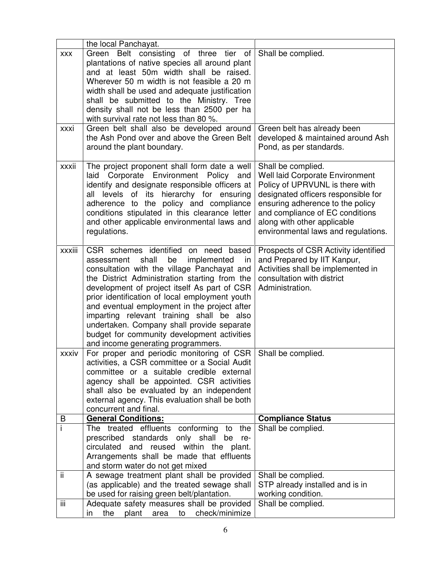|            | the local Panchayat.                                                                                                                                                                                                                                                                                                                                                                                                                                                                                                     |                                                                                                                                                                                                                                                                                     |
|------------|--------------------------------------------------------------------------------------------------------------------------------------------------------------------------------------------------------------------------------------------------------------------------------------------------------------------------------------------------------------------------------------------------------------------------------------------------------------------------------------------------------------------------|-------------------------------------------------------------------------------------------------------------------------------------------------------------------------------------------------------------------------------------------------------------------------------------|
| <b>XXX</b> | Green Belt consisting of three tier of<br>plantations of native species all around plant<br>and at least 50m width shall be raised.<br>Wherever 50 m width is not feasible a 20 m<br>width shall be used and adequate justification<br>shall be submitted to the Ministry. Tree<br>density shall not be less than 2500 per ha<br>with survival rate not less than 80 %.                                                                                                                                                  | Shall be complied.                                                                                                                                                                                                                                                                  |
| xxxi       | Green belt shall also be developed around<br>the Ash Pond over and above the Green Belt<br>around the plant boundary.                                                                                                                                                                                                                                                                                                                                                                                                    | Green belt has already been<br>developed & maintained around Ash<br>Pond, as per standards.                                                                                                                                                                                         |
| xxxii      | The project proponent shall form date a well<br>Corporate Environment Policy<br>laid<br>and<br>identify and designate responsible officers at<br>its hierarchy for ensuring<br>levels<br>of<br>all<br>adherence to the policy and compliance<br>conditions stipulated in this clearance letter<br>and other applicable environmental laws and<br>regulations.                                                                                                                                                            | Shall be complied.<br><b>Well laid Corporate Environment</b><br>Policy of UPRVUNL is there with<br>designated officers responsible for<br>ensuring adherence to the policy<br>and compliance of EC conditions<br>along with other applicable<br>environmental laws and regulations. |
| xxxiii     | CSR schemes identified on need based<br>shall<br>be<br>implemented<br>assessment<br>in<br>consultation with the village Panchayat and<br>the District Administration starting from the<br>development of project itself As part of CSR<br>prior identification of local employment youth<br>and eventual employment in the project after<br>imparting relevant training shall be also<br>undertaken. Company shall provide separate<br>budget for community development activities<br>and income generating programmers. | Prospects of CSR Activity identified<br>and Prepared by IIT Kanpur,<br>Activities shall be implemented in<br>consultation with district<br>Administration.                                                                                                                          |
| xxxiv      | For proper and periodic monitoring of CSR<br>activities, a CSR committee or a Social Audit<br>committee or a suitable credible external<br>agency shall be appointed. CSR activities<br>shall also be evaluated by an independent<br>external agency. This evaluation shall be both<br>concurrent and final.                                                                                                                                                                                                             | Shall be complied.                                                                                                                                                                                                                                                                  |
| B          | <b>General Conditions:</b>                                                                                                                                                                                                                                                                                                                                                                                                                                                                                               | <b>Compliance Status</b>                                                                                                                                                                                                                                                            |
|            | The treated effluents conforming to<br>the<br>prescribed<br>standards<br>only shall<br>be<br>re-<br>circulated<br>reused within the plant.<br>and<br>Arrangements shall be made that effluents<br>and storm water do not get mixed                                                                                                                                                                                                                                                                                       | Shall be complied.                                                                                                                                                                                                                                                                  |
| ii         | A sewage treatment plant shall be provided<br>(as applicable) and the treated sewage shall<br>be used for raising green belt/plantation.                                                                                                                                                                                                                                                                                                                                                                                 | Shall be complied.<br>STP already installed and is in<br>working condition.                                                                                                                                                                                                         |
| iii        | Adequate safety measures shall be provided<br>the<br>plant<br>to<br>check/minimize<br>area<br>in                                                                                                                                                                                                                                                                                                                                                                                                                         | Shall be complied.                                                                                                                                                                                                                                                                  |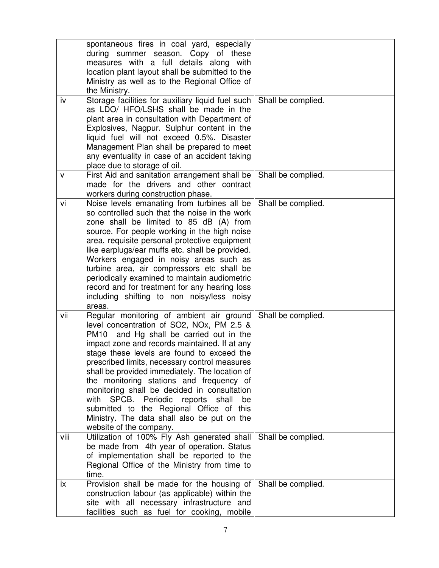| iv   | spontaneous fires in coal yard, especially<br>during summer season. Copy of these<br>measures with a full details along with<br>location plant layout shall be submitted to the<br>Ministry as well as to the Regional Office of<br>the Ministry.<br>Storage facilities for auxiliary liquid fuel such<br>as LDO/ HFO/LSHS shall be made in the<br>plant area in consultation with Department of<br>Explosives, Nagpur. Sulphur content in the<br>liquid fuel will not exceed 0.5%. Disaster<br>Management Plan shall be prepared to meet<br>any eventuality in case of an accident taking                 | Shall be complied. |
|------|------------------------------------------------------------------------------------------------------------------------------------------------------------------------------------------------------------------------------------------------------------------------------------------------------------------------------------------------------------------------------------------------------------------------------------------------------------------------------------------------------------------------------------------------------------------------------------------------------------|--------------------|
| v    | place due to storage of oil.<br>First Aid and sanitation arrangement shall be<br>made for the drivers and other contract<br>workers during construction phase.                                                                                                                                                                                                                                                                                                                                                                                                                                             | Shall be complied. |
| vi   | Noise levels emanating from turbines all be<br>so controlled such that the noise in the work<br>zone shall be limited to 85 dB (A) from<br>source. For people working in the high noise<br>area, requisite personal protective equipment<br>like earplugs/ear muffs etc. shall be provided.<br>Workers engaged in noisy areas such as<br>turbine area, air compressors etc shall be<br>periodically examined to maintain audiometric<br>record and for treatment for any hearing loss<br>including shifting to non noisy/less noisy<br>areas.                                                              | Shall be complied. |
| vii  | Regular monitoring of ambient air ground<br>level concentration of SO2, NOx, PM 2.5 &<br>and Hg shall be carried out in the<br>PM10<br>impact zone and records maintained. If at any<br>stage these levels are found to exceed the<br>prescribed limits, necessary control measures<br>shall be provided immediately. The location of<br>the monitoring stations and frequency of<br>monitoring shall be decided in consultation<br>SPCB. Periodic<br>reports<br>with<br>shall<br>be<br>submitted to the Regional Office of this<br>Ministry. The data shall also be put on the<br>website of the company. | Shall be complied. |
| viii | Utilization of 100% Fly Ash generated shall<br>be made from 4th year of operation. Status<br>of implementation shall be reported to the<br>Regional Office of the Ministry from time to<br>time.                                                                                                                                                                                                                                                                                                                                                                                                           | Shall be complied. |
| ix   | Provision shall be made for the housing of<br>construction labour (as applicable) within the<br>site with all necessary infrastructure and<br>facilities such as fuel for cooking, mobile                                                                                                                                                                                                                                                                                                                                                                                                                  | Shall be complied. |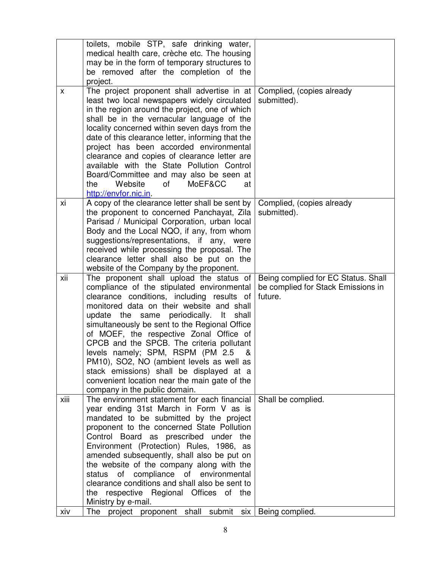|      | toilets, mobile STP, safe drinking water,<br>medical health care, crèche etc. The housing<br>may be in the form of temporary structures to<br>be removed after the completion of the<br>project.                                                                                                                                                                                                                                                                                                                                                                                                  |                                                                                      |
|------|---------------------------------------------------------------------------------------------------------------------------------------------------------------------------------------------------------------------------------------------------------------------------------------------------------------------------------------------------------------------------------------------------------------------------------------------------------------------------------------------------------------------------------------------------------------------------------------------------|--------------------------------------------------------------------------------------|
| X    | The project proponent shall advertise in at<br>least two local newspapers widely circulated<br>in the region around the project, one of which<br>shall be in the vernacular language of the<br>locality concerned within seven days from the<br>date of this clearance letter, informing that the<br>project has been accorded environmental<br>clearance and copies of clearance letter are<br>available with the State Pollution Control<br>Board/Committee and may also be seen at<br>Website<br>0f<br>MoEF&CC<br>the<br>at<br>http://envfor.nic.in                                            | Complied, (copies already<br>submitted).                                             |
| хi   | A copy of the clearance letter shall be sent by<br>the proponent to concerned Panchayat, Zila<br>Parisad / Municipal Corporation, urban local<br>Body and the Local NQO, if any, from whom<br>suggestions/representations, if any, were<br>received while processing the proposal. The<br>clearance letter shall also be put on the<br>website of the Company by the proponent.                                                                                                                                                                                                                   | Complied, (copies already<br>submitted).                                             |
| xii  | The proponent shall upload the status of<br>compliance of the stipulated environmental<br>clearance conditions, including results of<br>monitored data on their website and shall<br>update the same periodically.<br>lt –<br>shall<br>simultaneously be sent to the Regional Office<br>of MOEF, the respective Zonal Office of<br>CPCB and the SPCB. The criteria pollutant<br>levels namely; SPM, RSPM (PM 2.5)<br>&<br>PM10), SO2, NO (ambient levels as well as<br>stack emissions) shall be displayed at a<br>convenient location near the main gate of the<br>company in the public domain. | Being complied for EC Status. Shall<br>be complied for Stack Emissions in<br>future. |
| xiii | The environment statement for each financial<br>year ending 31st March in Form V as is<br>mandated to be submitted by the project<br>proponent to the concerned State Pollution<br>Control Board as prescribed under the<br>Environment (Protection) Rules, 1986, as<br>amended subsequently, shall also be put on<br>the website of the company along with the<br>compliance of environmental<br>status<br>of<br>clearance conditions and shall also be sent to<br>the respective Regional Offices of the<br>Ministry by e-mail.                                                                 | Shall be complied.                                                                   |
| xiv  | The project proponent shall<br>submit<br>six                                                                                                                                                                                                                                                                                                                                                                                                                                                                                                                                                      | Being complied.                                                                      |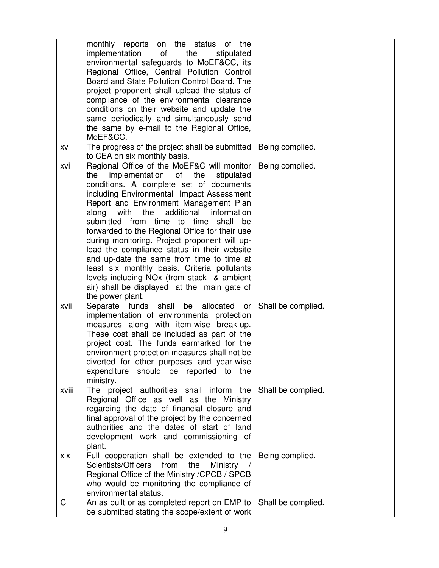|       | monthly reports<br>on the status of the<br>of<br>implementation<br>the<br>stipulated<br>environmental safeguards to MoEF&CC, its<br>Regional Office, Central Pollution Control<br>Board and State Pollution Control Board. The<br>project proponent shall upload the status of<br>compliance of the environmental clearance<br>conditions on their website and update the<br>same periodically and simultaneously send<br>the same by e-mail to the Regional Office,<br>MoEF&CC.                                                                                                                                                                                                                          |                    |
|-------|-----------------------------------------------------------------------------------------------------------------------------------------------------------------------------------------------------------------------------------------------------------------------------------------------------------------------------------------------------------------------------------------------------------------------------------------------------------------------------------------------------------------------------------------------------------------------------------------------------------------------------------------------------------------------------------------------------------|--------------------|
| XV    | The progress of the project shall be submitted<br>to CEA on six monthly basis.                                                                                                                                                                                                                                                                                                                                                                                                                                                                                                                                                                                                                            | Being complied.    |
| xvi   | Regional Office of the MoEF&C will monitor<br>implementation of<br>the<br>the<br>stipulated<br>conditions. A complete set of documents<br>including Environmental Impact Assessment<br>Report and Environment Management Plan<br>additional<br>along<br>with the<br>information<br>submitted from time to time<br>shall<br>be<br>forwarded to the Regional Office for their use<br>during monitoring. Project proponent will up-<br>load the compliance status in their website<br>and up-date the same from time to time at<br>least six monthly basis. Criteria pollutants<br>levels including NO <sub>x</sub> (from stack & ambient<br>air) shall be displayed at the main gate of<br>the power plant. | Being complied.    |
| xvii  | Separate funds shall be allocated<br>or<br>implementation of environmental protection<br>measures along with item-wise break-up.<br>These cost shall be included as part of the<br>project cost. The funds earmarked for the<br>environment protection measures shall not be<br>diverted for other purposes and year-wise<br>expenditure should be reported to the<br>ministry.                                                                                                                                                                                                                                                                                                                           | Shall be complied. |
| xviii | The project authorities shall inform the<br>Regional Office as well as the Ministry<br>regarding the date of financial closure and<br>final approval of the project by the concerned<br>authorities and the dates of start of land<br>development work and commissioning of<br>plant.                                                                                                                                                                                                                                                                                                                                                                                                                     | Shall be complied. |
| xix   | Full cooperation shall be extended to the<br>Scientists/Officers<br>from<br>the<br><b>Ministry</b><br>Regional Office of the Ministry / CPCB / SPCB<br>who would be monitoring the compliance of<br>environmental status.                                                                                                                                                                                                                                                                                                                                                                                                                                                                                 | Being complied.    |
| C     | An as built or as completed report on EMP to                                                                                                                                                                                                                                                                                                                                                                                                                                                                                                                                                                                                                                                              | Shall be complied. |
|       | be submitted stating the scope/extent of work                                                                                                                                                                                                                                                                                                                                                                                                                                                                                                                                                                                                                                                             |                    |